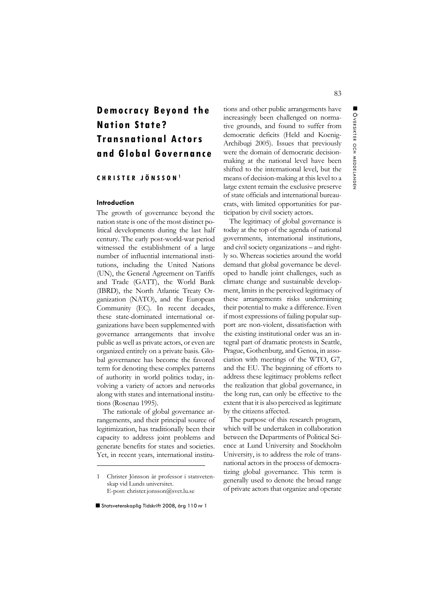# **Democracy Beyond the Nation State? Transnational Actors and Global Governance**

**CHRISTER JÖNSSON <sup>1</sup>**

## **Introduction**

The growth of governance beyond the nation state is one of the most distinct political developments during the last half century. The early post-world-war period witnessed the establishment of a large number of influential international institutions, including the United Nations (UN), the General Agreement on Tariffs and Trade (GATT), the World Bank (IBRD), the North Atlantic Treaty Organization (NATO), and the European Community (EC). In recent decades, these state-dominated international organizations have been supplemented with governance arrangements that involve public as well as private actors, or even are organized entirely on a private basis. Global governance has become the favored term for denoting these complex patterns of authority in world politics today, involving a variety of actors and networks along with states and international institutions (Rosenau 1995).

The rationale of global governance arrangements, and their principal source of legitimization, has traditionally been their capacity to address joint problems and generate benefits for states and societies. Yet, in recent years, international institu-

tions and other public arrangements have increasingly been challenged on normative grounds, and found to suffer from democratic deficits (Held and Koenig-Archibugi 2005). Issues that previously were the domain of democratic decisionmaking at the national level have been shifted to the international level, but the means of decision-making at this level to a large extent remain the exclusive preserve of state officials and international bureaucrats, with limited opportunities for participation by civil society actors.

The legitimacy of global governance is today at the top of the agenda of national governments, international institutions, and civil society organizations – and rightly so. Whereas societies around the world demand that global governance be developed to handle joint challenges, such as climate change and sustainable development, limits in the perceived legitimacy of these arrangements risks undermining their potential to make a difference. Even if most expressions of failing popular support are non-violent, dissatisfaction with the existing institutional order was an integral part of dramatic protests in Seattle, Prague, Gothenburg, and Genoa, in association with meetings of the WTO, G7, and the EU. The beginning of efforts to address these legitimacy problems reflect the realization that global governance, in the long run, can only be effective to the extent that it is also perceived as legitimate by the citizens affected.

The purpose of this research program, which will be undertaken in collaboration between the Departments of Political Science at Lund University and Stockholm University, is to address the role of transnational actors in the process of democratizing global governance. This term is generally used to denote the broad range of private actors that organize and operate

<sup>1</sup> Christer Jönsson är professor i statsvetenskap vid Lunds universitet. E-post: christer.jonsson@svet.lu.se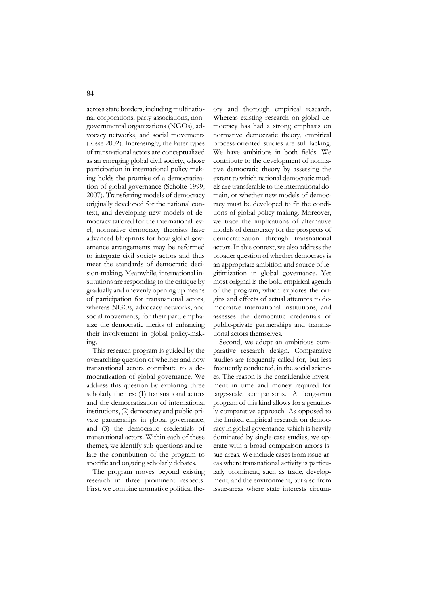across state borders, including multinational corporations, party associations, nongovernmental organizations (NGOs), advocacy networks, and social movements (Risse 2002). Increasingly, the latter types of transnational actors are conceptualized as an emerging global civil society, whose participation in international policy-making holds the promise of a democratization of global governance (Scholte 1999; 2007). Transferring models of democracy originally developed for the national context, and developing new models of democracy tailored for the international level, normative democracy theorists have advanced blueprints for how global governance arrangements may be reformed to integrate civil society actors and thus meet the standards of democratic decision-making. Meanwhile, international institutions are responding to the critique by gradually and unevenly opening up means of participation for transnational actors, whereas NGOs, advocacy networks, and social movements, for their part, emphasize the democratic merits of enhancing their involvement in global policy-making.

This research program is guided by the overarching question of whether and how transnational actors contribute to a democratization of global governance. We address this question by exploring three scholarly themes: (1) transnational actors and the democratization of international institutions, (2) democracy and public-private partnerships in global governance, and (3) the democratic credentials of transnational actors. Within each of these themes, we identify sub-questions and relate the contribution of the program to specific and ongoing scholarly debates.

The program moves beyond existing research in three prominent respects. First, we combine normative political theory and thorough empirical research. Whereas existing research on global democracy has had a strong emphasis on normative democratic theory, empirical process-oriented studies are still lacking. We have ambitions in both fields. We contribute to the development of normative democratic theory by assessing the extent to which national democratic models are transferable to the international domain, or whether new models of democracy must be developed to fit the conditions of global policy-making. Moreover, we trace the implications of alternative models of democracy for the prospects of democratization through transnational actors. In this context, we also address the broader question of whether democracy is an appropriate ambition and source of legitimization in global governance. Yet most original is the bold empirical agenda of the program, which explores the origins and effects of actual attempts to democratize international institutions, and assesses the democratic credentials of public-private partnerships and transnational actors themselves.

Second, we adopt an ambitious comparative research design. Comparative studies are frequently called for, but less frequently conducted, in the social sciences. The reason is the considerable investment in time and money required for large-scale comparisons. A long-term program of this kind allows for a genuinely comparative approach. As opposed to the limited empirical research on democracy in global governance, which is heavily dominated by single-case studies, we operate with a broad comparison across issue-areas. We include cases from issue-areas where transnational activity is particularly prominent, such as trade, development, and the environment, but also from issue-areas where state interests circum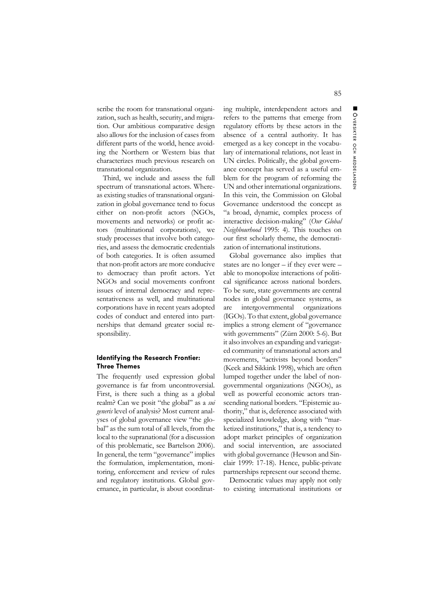scribe the room for transnational organization, such as health, security, and migration. Our ambitious comparative design also allows for the inclusion of cases from different parts of the world, hence avoiding the Northern or Western bias that characterizes much previous research on transnational organization.

Third, we include and assess the full spectrum of transnational actors. Whereas existing studies of transnational organization in global governance tend to focus either on non-profit actors (NGOs, movements and networks) or profit actors (multinational corporations), we study processes that involve both categories, and assess the democratic credentials of both categories. It is often assumed that non-profit actors are more conducive to democracy than profit actors. Yet NGOs and social movements confront issues of internal democracy and representativeness as well, and multinational corporations have in recent years adopted codes of conduct and entered into partnerships that demand greater social responsibility.

#### **Identifying the Research Frontier: Three Themes**

The frequently used expression global governance is far from uncontroversial. First, is there such a thing as a global realm? Can we posit "the global" as a *sui generis* level of analysis? Most current analyses of global governance view "the global" as the sum total of all levels, from the local to the supranational (for a discussion of this problematic, see Bartelson 2006). In general, the term "governance" implies the formulation, implementation, monitoring, enforcement and review of rules and regulatory institutions. Global governance, in particular, is about coordinat-

ing multiple, interdependent actors and refers to the patterns that emerge from regulatory efforts by these actors in the absence of a central authority. It has emerged as a key concept in the vocabulary of international relations, not least in UN circles. Politically, the global governance concept has served as a useful emblem for the program of reforming the UN and other international organizations. In this vein, the Commission on Global Governance understood the concept as "a broad, dynamic, complex process of interactive decision-making" (*Our Global Neighbourhood* 1995: 4). This touches on our first scholarly theme, the democratization of international institutions.

Global governance also implies that states are no longer – if they ever were – able to monopolize interactions of political significance across national borders. To be sure, state governments are central nodes in global governance systems, as are intergovernmental organizations (IGOs). To that extent, global governance implies a strong element of "governance with governments" (Zürn 2000: 5-6). But it also involves an expanding and variegated community of transnational actors and movements, "activists beyond borders" (Keck and Sikkink 1998), which are often lumped together under the label of nongovernmental organizations (NGOs), as well as powerful economic actors transcending national borders. "Epistemic authority," that is, deference associated with specialized knowledge, along with "marketized institutions," that is, a tendency to adopt market principles of organization and social intervention, are associated with global governance (Hewson and Sinclair 1999: 17-18). Hence, public-private partnerships represent our second theme.

Democratic values may apply not only to existing international institutions or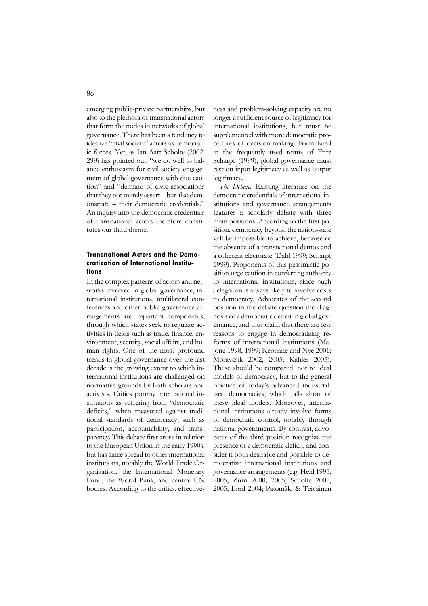emerging public-private partnerships, but also to the plethora of transnational actors that form the nodes in networks of global governance. There has been a tendency to idealize "civil society" actors as democratic forces. Yet, as Jan Aart Scholte (2002: 299) has pointed out, "we do well to balance enthusiasm for civil society engagement of global governance with due caution" and "demand of civic associations that they not merely assert – but also demonstrate – their democratic credentials." An inquiry into the democratic credentials of transnational actors therefore constitutes our third theme.

## **Transnational Actors and the Democratization of International Institutions**

In the complex patterns of actors and networks involved in global governance, international institutions, multilateral conferences and other public governance arrangements are important components, through which states seek to regulate activities in fields such as trade, finance, environment, security, social affairs, and human rights. One of the most profound trends in global governance over the last decade is the growing extent to which international institutions are challenged on normative grounds by both scholars and activists. Critics portray international institutions as suffering from "democratic deficits," when measured against traditional standards of democracy, such as participation, accountability, and transparency. This debate first arose in relation to the European Union in the early 1990s, but has since spread to other international institutions, notably the World Trade Organization, the International Monetary Fund, the World Bank, and central UN bodies. According to the critics, effectiveness and problem-solving capacity are no longer a sufficient source of legitimacy for international institutions, but must be supplemented with more democratic procedures of decision-making. Formulated in the frequently used terms of Fritz Scharpf (1999), global governance must rest on input legitimacy as well as output legitimacy.

*The Debate.* Existing literature on the democratic credentials of international institutions and governance arrangements features a scholarly debate with three main positions. According to the first position, democracy beyond the nation-state will be impossible to achieve, because of the absence of a transnational demos and a coherent electorate (Dahl 1999; Scharpf 1999). Proponents of this pessimistic position urge caution in conferring authority to international institutions, since such delegation is always likely to involve costs to democracy. Advocates of the second position in the debate question the diagnosis of a democratic deficit in global governance, and thus claim that there are few reasons to engage in democratizing reforms of international institutions (Majone 1998, 1999; Keohane and Nye 2001; Moravcsik 2002, 2005; Kahler 2005). These should be compared, not to ideal models of democracy, but to the general practice of today's advanced industrialized democracies, which falls short of these ideal models. Moreover, international institutions already involve forms of democratic control, notably through national governments. By contrast, advocates of the third position recognize the presence of a democratic deficit, and consider it both desirable and possible to democratize international institutions and governance arrangements (e.g. Held 1995, 2005; Zürn 2000, 2005; Scholte 2002, 2005; Lord 2004; Patomäki & Teivainen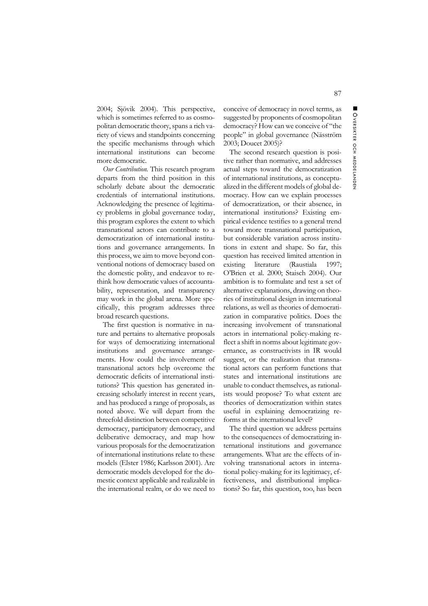2004; Sjövik 2004). This perspective, which is sometimes referred to as cosmopolitan democratic theory, spans a rich variety of views and standpoints concerning the specific mechanisms through which international institutions can become more democratic.

*Our Contribution.* This research program departs from the third position in this scholarly debate about the democratic credentials of international institutions. Acknowledging the presence of legitimacy problems in global governance today, this program explores the extent to which transnational actors can contribute to a democratization of international institutions and governance arrangements. In this process, we aim to move beyond conventional notions of democracy based on the domestic polity, and endeavor to rethink how democratic values of accountability, representation, and transparency may work in the global arena. More specifically, this program addresses three broad research questions.

The first question is normative in nature and pertains to alternative proposals for ways of democratizing international institutions and governance arrangements. How could the involvement of transnational actors help overcome the democratic deficits of international institutions? This question has generated increasing scholarly interest in recent years, and has produced a range of proposals, as noted above. We will depart from the threefold distinction between competitive democracy, participatory democracy, and deliberative democracy, and map how various proposals for the democratization of international institutions relate to these models (Elster 1986; Karlsson 2001). Are democratic models developed for the domestic context applicable and realizable in the international realm, or do we need to

conceive of democracy in novel terms, as suggested by proponents of cosmopolitan democracy? How can we conceive of "the people" in global governance (Näsström 2003; Doucet 2005)?

The second research question is positive rather than normative, and addresses actual steps toward the democratization of international institutions, as conceptualized in the different models of global democracy. How can we explain processes of democratization, or their absence, in international institutions? Existing empirical evidence testifies to a general trend toward more transnational participation, but considerable variation across institutions in extent and shape. So far, this question has received limited attention in existing literature (Raustiala 1997; O'Brien et al. 2000; Staisch 2004). Our ambition is to formulate and test a set of alternative explanations, drawing on theories of institutional design in international relations, as well as theories of democratization in comparative politics. Does the increasing involvement of transnational actors in international policy-making reflect a shift in norms about legitimate governance, as constructivists in IR would suggest, or the realization that transnational actors can perform functions that states and international institutions are unable to conduct themselves, as rationalists would propose? To what extent are theories of democratization within states useful in explaining democratizing reforms at the international level?

The third question we address pertains to the consequences of democratizing international institutions and governance arrangements. What are the effects of involving transnational actors in international policy-making for its legitimacy, effectiveness, and distributional implications? So far, this question, too, has been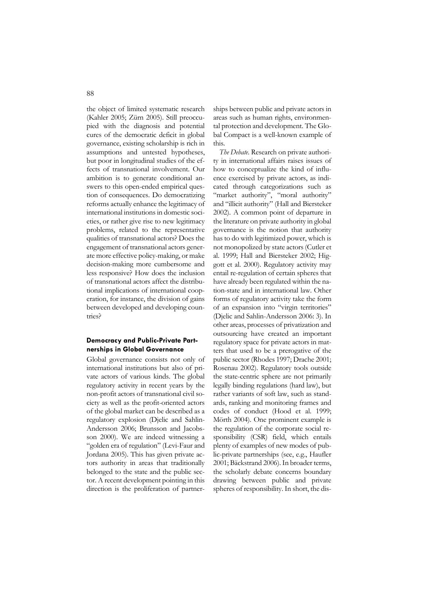the object of limited systematic research (Kahler 2005; Zürn 2005). Still preoccupied with the diagnosis and potential cures of the democratic deficit in global governance, existing scholarship is rich in assumptions and untested hypotheses, but poor in longitudinal studies of the effects of transnational involvement. Our ambition is to generate conditional answers to this open-ended empirical question of consequences. Do democratizing reforms actually enhance the legitimacy of international institutions in domestic societies, or rather give rise to new legitimacy problems, related to the representative qualities of transnational actors? Does the engagement of transnational actors generate more effective policy-making, or make decision-making more cumbersome and less responsive? How does the inclusion of transnational actors affect the distributional implications of international cooperation, for instance, the division of gains between developed and developing countries?

## **Democracy and Public-Private Partnerships in Global Governance**

Global governance consists not only of international institutions but also of private actors of various kinds. The global regulatory activity in recent years by the non-profit actors of transnational civil society as well as the profit-oriented actors of the global market can be described as a regulatory explosion (Djelic and Sahlin-Andersson 2006; Brunsson and Jacobsson 2000). We are indeed witnessing a "golden era of regulation" (Levi-Faur and Jordana 2005). This has given private actors authority in areas that traditionally belonged to the state and the public sector. A recent development pointing in this direction is the proliferation of partnerships between public and private actors in areas such as human rights, environmental protection and development. The Global Compact is a well-known example of this.

*The Debate.* Research on private authority in international affairs raises issues of how to conceptualize the kind of influence exercised by private actors, as indicated through categorizations such as "market authority", "moral authority" and "illicit authority" (Hall and Biersteker 2002). A common point of departure in the literature on private authority in global governance is the notion that authority has to do with legitimized power, which is not monopolized by state actors (Cutler et al. 1999; Hall and Biersteker 2002; Higgott et al. 2000). Regulatory activity may entail re-regulation of certain spheres that have already been regulated within the nation-state and in international law. Other forms of regulatory activity take the form of an expansion into "virgin territories" (Djelic and Sahlin-Andersson 2006: 3). In other areas, processes of privatization and outsourcing have created an important regulatory space for private actors in matters that used to be a prerogative of the public sector (Rhodes 1997; Drache 2001; Rosenau 2002). Regulatory tools outside the state-centric sphere are not primarily legally binding regulations (hard law), but rather variants of soft law, such as standards, ranking and monitoring frames and codes of conduct (Hood et al. 1999; Mörth 2004). One prominent example is the regulation of the corporate social responsibility (CSR) field, which entails plenty of examples of new modes of public-private partnerships (see, e.g., Haufler 2001; Bäckstrand 2006). In broader terms, the scholarly debate concerns boundary drawing between public and private spheres of responsibility. In short, the dis-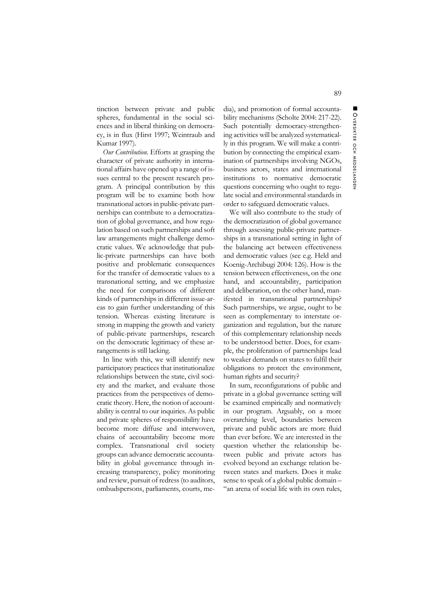tinction between private and public spheres, fundamental in the social sciences and in liberal thinking on democracy, is in flux (Hirst 1997; Weintraub and Kumar 1997).

*Our Contribution.* Efforts at grasping the character of private authority in international affairs have opened up a range of issues central to the present research program. A principal contribution by this program will be to examine both how transnational actors in public-private partnerships can contribute to a democratization of global governance, and how regulation based on such partnerships and soft law arrangements might challenge democratic values. We acknowledge that public-private partnerships can have both positive and problematic consequences for the transfer of democratic values to a transnational setting, and we emphasize the need for comparisons of different kinds of partnerships in different issue-areas to gain further understanding of this tension. Whereas existing literature is strong in mapping the growth and variety of public-private partnerships, research on the democratic legitimacy of these arrangements is still lacking.

In line with this, we will identify new participatory practices that institutionalize relationships between the state, civil society and the market, and evaluate those practices from the perspectives of democratic theory. Here, the notion of accountability is central to our inquiries. As public and private spheres of responsibility have become more diffuse and interwoven, chains of accountability become more complex. Transnational civil society groups can advance democratic accountability in global governance through increasing transparency, policy monitoring and review, pursuit of redress (to auditors, ombudspersons, parliaments, courts, me-

dia), and promotion of formal accountability mechanisms (Scholte 2004: 217-22). Such potentially democracy-strengthening activities will be analyzed systematically in this program. We will make a contribution by connecting the empirical examination of partnerships involving NGOs, business actors, states and international institutions to normative democratic questions concerning who ought to regulate social and environmental standards in order to safeguard democratic values.

We will also contribute to the study of the democratization of global governance through assessing public-private partnerships in a transnational setting in light of the balancing act between effectiveness and democratic values (see e.g. Held and Koenig-Archibugi 2004: 126). How is the tension between effectiveness, on the one hand, and accountability, participation and deliberation, on the other hand, manifested in transnational partnerships? Such partnerships, we argue, ought to be seen as complementary to interstate organization and regulation, but the nature of this complementary relationship needs to be understood better. Does, for example, the proliferation of partnerships lead to weaker demands on states to fulfil their obligations to protect the environment, human rights and security?

In sum, reconfigurations of public and private in a global governance setting will be examined empirically and normatively in our program. Arguably, on a more overarching level, boundaries between private and public actors are more fluid than ever before. We are interested in the question whether the relationship between public and private actors has evolved beyond an exchange relation between states and markets. Does it make sense to speak of a global public domain – "an arena of social life with its own rules,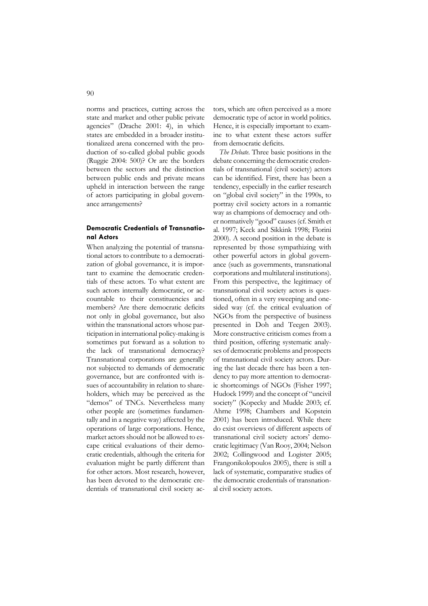norms and practices, cutting across the state and market and other public private agencies" (Drache 2001: 4), in which states are embedded in a broader institutionalized arena concerned with the production of so-called global public goods (Ruggie 2004: 500)? Or are the borders between the sectors and the distinction between public ends and private means upheld in interaction between the range of actors participating in global governance arrangements?

## **Democratic Credentials of Transnational Actors**

When analyzing the potential of transnational actors to contribute to a democratization of global governance, it is important to examine the democratic credentials of these actors. To what extent are such actors internally democratic, or accountable to their constituencies and members? Are there democratic deficits not only in global governance, but also within the transnational actors whose participation in international policy-making is sometimes put forward as a solution to the lack of transnational democracy? Transnational corporations are generally not subjected to demands of democratic governance, but are confronted with issues of accountability in relation to shareholders, which may be perceived as the "demos" of TNCs. Nevertheless many other people are (sometimes fundamentally and in a negative way) affected by the operations of large corporations. Hence, market actors should not be allowed to escape critical evaluations of their democratic credentials, although the criteria for evaluation might be partly different than for other actors. Most research, however, has been devoted to the democratic credentials of transnational civil society actors, which are often perceived as a more democratic type of actor in world politics. Hence, it is especially important to examine to what extent these actors suffer from democratic deficits.

*The Debate.* Three basic positions in the debate concerning the democratic credentials of transnational (civil society) actors can be identified. First, there has been a tendency, especially in the earlier research on "global civil society" in the 1990s, to portray civil society actors in a romantic way as champions of democracy and other normatively "good" causes (cf. Smith et al. 1997; Keck and Sikkink 1998; Florini 2000). A second position in the debate is represented by those sympathizing with other powerful actors in global governance (such as governments, transnational corporations and multilateral institutions). From this perspective, the legitimacy of transnational civil society actors is questioned, often in a very sweeping and onesided way (cf. the critical evaluation of NGOs from the perspective of business presented in Doh and Teegen 2003). More constructive criticism comes from a third position, offering systematic analyses of democratic problems and prospects of transnational civil society actors. During the last decade there has been a tendency to pay more attention to democratic shortcomings of NGOs (Fisher 1997; Hudock 1999) and the concept of "uncivil society" (Kopecky and Mudde 2003; cf. Ahrne 1998; Chambers and Kopstein 2001) has been introduced. While there do exist overviews of different aspects of transnational civil society actors' democratic legitimacy (Van Rooy, 2004; Nelson 2002; Collingwood and Logister 2005; Frangonikolopoulos 2005), there is still a lack of systematic, comparative studies of the democratic credentials of transnational civil society actors.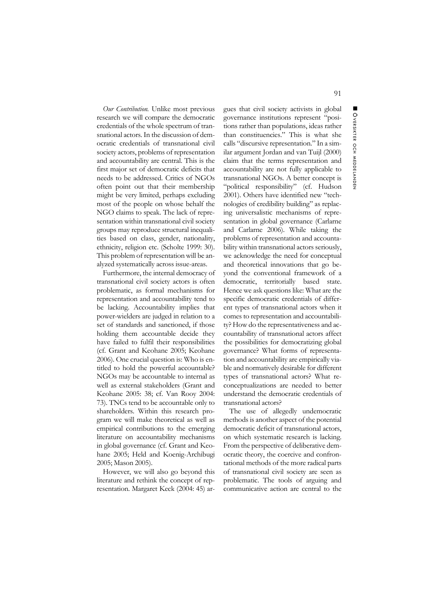*Our Contribution.* Unlike most previous research we will compare the democratic credentials of the whole spectrum of transnational actors. In the discussion of democratic credentials of transnational civil society actors, problems of representation and accountability are central. This is the first major set of democratic deficits that needs to be addressed. Critics of NGOs often point out that their membership might be very limited, perhaps excluding most of the people on whose behalf the NGO claims to speak. The lack of representation within transnational civil society groups may reproduce structural inequalities based on class, gender, nationality, ethnicity, religion etc. (Scholte 1999: 30). This problem of representation will be analyzed systematically across issue-areas.

Furthermore, the internal democracy of transnational civil society actors is often problematic, as formal mechanisms for representation and accountability tend to be lacking. Accountability implies that power-wielders are judged in relation to a set of standards and sanctioned, if those holding them accountable decide they have failed to fulfil their responsibilities (cf. Grant and Keohane 2005; Keohane 2006). One crucial question is: Who is entitled to hold the powerful accountable? NGOs may be accountable to internal as well as external stakeholders (Grant and Keohane 2005: 38; cf. Van Rooy 2004: 73). TNCs tend to be accountable only to shareholders. Within this research program we will make theoretical as well as empirical contributions to the emerging literature on accountability mechanisms in global governance (cf. Grant and Keohane 2005; Held and Koenig-Archibugi 2005; Mason 2005).

However, we will also go beyond this literature and rethink the concept of representation. Margaret Keck (2004: 45) ar-

gues that civil society activists in global governance institutions represent "positions rather than populations, ideas rather than constituencies." This is what she calls "discursive representation." In a similar argument Jordan and van Tuijl (2000) claim that the terms representation and accountability are not fully applicable to transnational NGOs. A better concept is "political responsibility" (cf. Hudson 2001). Others have identified new "technologies of credibility building" as replacing universalistic mechanisms of representation in global governance (Carlarne and Carlarne 2006). While taking the problems of representation and accountability within transnational actors seriously, we acknowledge the need for conceptual and theoretical innovations that go beyond the conventional framework of a democratic, territorially based state. Hence we ask questions like: What are the specific democratic credentials of different types of transnational actors when it comes to representation and accountability? How do the representativeness and accountability of transnational actors affect the possibilities for democratizing global governance? What forms of representation and accountability are empirically viable and normatively desirable for different types of transnational actors? What reconceptualizations are needed to better understand the democratic credentials of transnational actors?

The use of allegedly undemocratic methods is another aspect of the potential democratic deficit of transnational actors, on which systematic research is lacking. From the perspective of deliberative democratic theory, the coercive and confrontational methods of the more radical parts of transnational civil society are seen as problematic. The tools of arguing and communicative action are central to the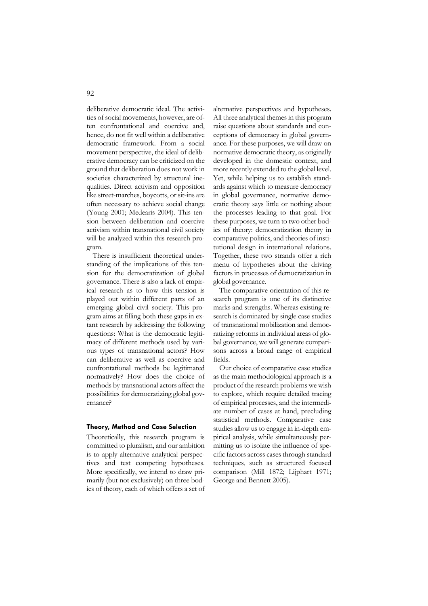92

deliberative democratic ideal. The activities of social movements, however, are often confrontational and coercive and, hence, do not fit well within a deliberative democratic framework. From a social movement perspective, the ideal of deliberative democracy can be criticized on the ground that deliberation does not work in societies characterized by structural inequalities. Direct activism and opposition like street-marches, boycotts, or sit-ins are often necessary to achieve social change (Young 2001; Medearis 2004). This tension between deliberation and coercive activism within transnational civil society will be analyzed within this research program.

There is insufficient theoretical understanding of the implications of this tension for the democratization of global governance. There is also a lack of empirical research as to how this tension is played out within different parts of an emerging global civil society. This program aims at filling both these gaps in extant research by addressing the following questions: What is the democratic legitimacy of different methods used by various types of transnational actors? How can deliberative as well as coercive and confrontational methods be legitimated normatively? How does the choice of methods by transnational actors affect the possibilities for democratizing global governance?

#### **Theory, Method and Case Selection**

Theoretically, this research program is committed to pluralism, and our ambition is to apply alternative analytical perspectives and test competing hypotheses. More specifically, we intend to draw primarily (but not exclusively) on three bodies of theory, each of which offers a set of alternative perspectives and hypotheses. All three analytical themes in this program raise questions about standards and conceptions of democracy in global governance. For these purposes, we will draw on normative democratic theory, as originally developed in the domestic context, and more recently extended to the global level. Yet, while helping us to establish standards against which to measure democracy in global governance, normative democratic theory says little or nothing about the processes leading to that goal. For these purposes, we turn to two other bodies of theory: democratization theory in comparative politics, and theories of institutional design in international relations. Together, these two strands offer a rich menu of hypotheses about the driving factors in processes of democratization in global governance.

The comparative orientation of this research program is one of its distinctive marks and strengths. Whereas existing research is dominated by single case studies of transnational mobilization and democratizing reforms in individual areas of global governance, we will generate comparisons across a broad range of empirical fields.

Our choice of comparative case studies as the main methodological approach is a product of the research problems we wish to explore, which require detailed tracing of empirical processes, and the intermediate number of cases at hand, precluding statistical methods. Comparative case studies allow us to engage in in-depth empirical analysis, while simultaneously permitting us to isolate the influence of specific factors across cases through standard techniques, such as structured focused comparison (Mill 1872; Lijphart 1971; George and Bennett 2005).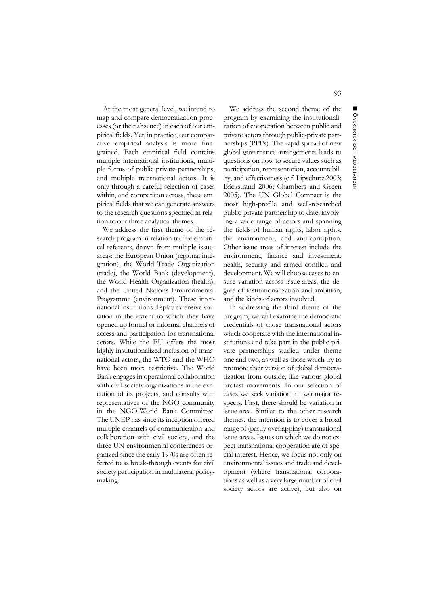At the most general level, we intend to map and compare democratization processes (or their absence) in each of our empirical fields. Yet, in practice, our comparative empirical analysis is more finegrained. Each empirical field contains multiple international institutions, multiple forms of public-private partnerships, and multiple transnational actors. It is only through a careful selection of cases within, and comparison across, these empirical fields that we can generate answers to the research questions specified in relation to our three analytical themes.

We address the first theme of the research program in relation to five empirical referents, drawn from multiple issueareas: the European Union (regional integration), the World Trade Organization (trade), the World Bank (development), the World Health Organization (health), and the United Nations Environmental Programme (environment). These international institutions display extensive variation in the extent to which they have opened up formal or informal channels of access and participation for transnational actors. While the EU offers the most highly institutionalized inclusion of transnational actors, the WTO and the WHO have been more restrictive. The World Bank engages in operational collaboration with civil society organizations in the execution of its projects, and consults with representatives of the NGO community in the NGO-World Bank Committee. The UNEP has since its inception offered multiple channels of communication and collaboration with civil society, and the three UN environmental conferences organized since the early 1970s are often referred to as break-through events for civil society participation in multilateral policymaking.

We address the second theme of the program by examining the institutionalization of cooperation between public and private actors through public-private partnerships (PPPs). The rapid spread of new global governance arrangements leads to questions on how to secure values such as participation, representation, accountability, and effectiveness (c.f. Lipschutz 2003; Bäckstrand 2006; Chambers and Green 2005). The UN Global Compact is the most high-profile and well-researched public-private partnership to date, involving a wide range of actors and spanning the fields of human rights, labor rights, the environment, and anti-corruption. Other issue-areas of interest include the environment, finance and investment, health, security and armed conflict, and development. We will choose cases to ensure variation across issue-areas, the degree of institutionalization and ambition, and the kinds of actors involved.

In addressing the third theme of the program, we will examine the democratic credentials of those transnational actors which cooperate with the international institutions and take part in the public-private partnerships studied under theme one and two, as well as those which try to promote their version of global democratization from outside, like various global protest movements. In our selection of cases we seek variation in two major respects. First, there should be variation in issue-area. Similar to the other research themes, the intention is to cover a broad range of (partly overlapping) transnational issue-areas. Issues on which we do not expect transnational cooperation are of special interest. Hence, we focus not only on environmental issues and trade and development (where transnational corporations as well as a very large number of civil society actors are active), but also on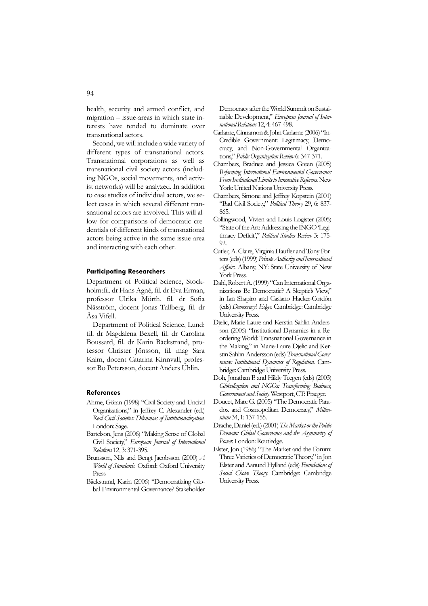health, security and armed conflict, and migration – issue-areas in which state interests have tended to dominate over transnational actors.

Second, we will include a wide variety of different types of transnational actors. Transnational corporations as well as transnational civil society actors (including NGOs, social movements, and activist networks) will be analyzed. In addition to case studies of individual actors, we select cases in which several different transnational actors are involved. This will allow for comparisons of democratic credentials of different kinds of transnational actors being active in the same issue-area and interacting with each other.

#### **Participating Researchers**

Department of Political Science, Stockholm:fil. dr Hans Agné, fil. dr Eva Erman, professor Ulrika Mörth, fil. dr Sofia Näsström, docent Jonas Tallberg, fil. dr Åsa Vifell.

Department of Political Science, Lund: fil. dr Magdalena Bexell, fil. dr Carolina Boussard, fil. dr Karin Bäckstrand, professor Christer Jönsson, fil. mag Sara Kalm, docent Catarina Kinnvall, professor Bo Petersson, docent Anders Uhlin.

#### **References**

- Ahrne, Göran (1998) "Civil Society and Uncivil Organizations," in Jeffrey C. Alexander (ed.) *Real Civil Societies: Dilemmas of Institutionalization.* London: Sage.
- Bartelson, Jens (2006) "Making Sense of Global Civil Society," *European Journal of International Relations* 12, 3: 371-395.
- Brunsson, Nils and Bengt Jacobsson (2000) *A World of Standards.* Oxford: Oxford University Press
- Bäckstrand, Karin (2006) "Democratizing Global Environmental Governance? Stakeholder

Democracy after the World Summit on Sustainable Development," *European Journal of International Relations* 12, 4: 467-498.

- Carlarne, Cinnamon & John Carlarne (2006) "In-Credible Government: Legitimacy, Democracy, and Non-Governmental Organizations," *Public Organization Review* 6: 347-371.
- Chambers, Bradnee and Jessica Green (2005) *Reforming International Environmental Governance: From Institutional Limits to Innovative Reforms.* New York: United Nations University Press.
- Chambers, Simone and Jeffrey Kopstein (2001) "Bad Civil Society," *Political Theory* 29, 6: 837- 865.
- Collingwood, Vivien and Louis Logister (2005) "State of the Art: Addressing the INGO 'Legitimacy Deficit'," *Political Studies Review* 3: 175- 92.
- Cutler, A. Claire, Virginia Haufler and Tony Porters (eds) (1999) *Private Authority and International Affairs.* Albany, NY: State University of New York Press.
- Dahl, Robert A. (1999) "Can International Organizations Be Democratic? A Skeptic's View," in Ian Shapiro and Casiano Hacker-Cordón (eds) *Democracy's Edges.* Cambridge: Cambridge University Press.
- Djelic, Marie-Laure and Kerstin Sahlin-Andersson (2006) "Institutional Dynamics in a Reordering World: Transnational Governance in the Making," in Marie-Laure Djelic and Kerstin Sahlin-Andersson (eds) *Transnational Governance: Institutional Dynamics of Regulation*. Cambridge: Cambridge University Press.
- Doh, Jonathan P. and Hildy Teegen (eds) (2003) *Globalization and NGOs: Transforming Business, Government and Society*. Westport, CT: Praeger.
- Doucet, Marc G. (2005) "The Democratic Paradox and Cosmopolitan Democracy," *Millennium* 34, 1: 137-155.
- Drache, Daniel (ed.) (2001) *The Market or the Public Domain: Global Governance and the Asymmetry of Power*. London: Routledge.
- Elster, Jon (1986) "The Market and the Forum: Three Varieties of Democratic Theory," in Jon Elster and Aanund Hylland (eds) *Foundations of Social Choice Theory*. Cambridge: Cambridge University Press.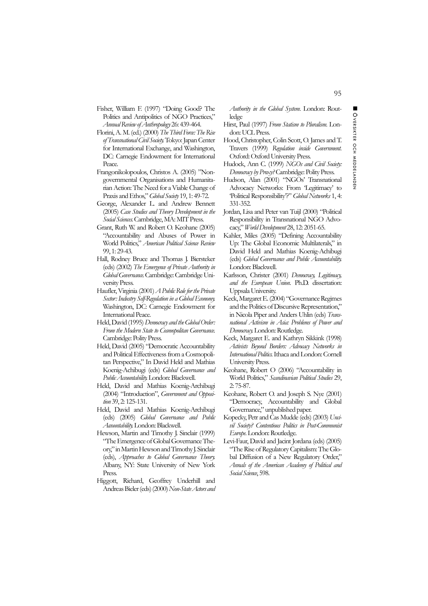Fisher, William F. (1997) "Doing Good? The Politics and Antipolitics of NGO Practices," *Annual Review of Anthropology* 26: 439-464.

- Florini, A. M. (ed.) (2000) *The Third Force: The Rise of Transnational Civil Society*. Tokyo: Japan Center for International Exchange, and Washington, DC: Carnegie Endowment for International Peace.
- Frangonikolopoulos, Christos A. (2005) "Nongovernmental Organisations and Humanitarian Action: The Need for a Viable Change of Praxis and Ethos," *Global Society* 19, 1: 49-72.
- George, Alexander L. and Andrew Bennett (2005) *Case Studies and Theory Development in the Social Sciences*. Cambridge, MA: MIT Press.
- Grant, Ruth W. and Robert O. Keohane (2005) "Accountability and Abuses of Power in World Politics," *American Political Science Review* 99, 1: 29-43.
- Hall, Rodney Bruce and Thomas J. Biersteker (eds) (2002) *The Emergence of Private Authority in Global Governance*. Cambridge: Cambridge University Press.
- Haufler, Virginia (2001) *A Public Role for the Private Sector: Industry Self-Regulation in a Global Economy*. Washington, DC: Carnegie Endowment for International Peace.
- Held, David (1995) *Democracy and the Global Order: From the Modern State to Cosmopolitan Governance*. Cambridge: Polity Press.
- Held, David (2005) "Democratic Accountability and Political Effectiveness from a Cosmopolitan Perspective," In David Held and Mathias Koenig-Achibugi (eds) *Global Governance and Public Accountability*. London: Blackwell.
- Held, David and Mathias Koenig-Archibugi (2004) "Introduction", *Government and Opposition* 39, 2: 125-131.
- Held, David and Mathias Koenig-Archibugi (eds) (2005) *Global Governance and Public Accountability*. London: Blackwell.
- Hewson, Martin and Timothy J. Sinclair (1999) "The Emergence of Global Governance Theory," in Martin Hewson and Timothy J. Sinclair (eds), *Approaches to Global Governance Theory*. Albany, NY: State University of New York Press.
- Higgott, Richard, Geoffrey Underhill and Andreas Bieler (eds) (2000) *Non-State Actors and*

*Authority in the Global System*. London: Routledge

- Hirst, Paul (1997) *From Statism to Pluralism*. London: UCL Press.
- Hood, Christopher, Colin Scott, O. James and T. Travers (1999) *Regulation inside Government*. Oxford: Oxford University Press.
- Hudock, Ann C. (1999) *NGOs and Civil Society: Democracy by Proxy?* Cambridge: Polity Press.
- Hudson, Alan (2001) "NGOs' Transnational Advocacy Networks: From 'Legitimacy' to 'Political Responsibility'?" *Global Networks* 1, 4: 331-352.
- Jordan, Lisa and Peter van Tuijl (2000) "Political Responsibility in Transnational NGO Advocacy," *World Development* 28, 12: 2051-65.
- Kahler, Miles (2005) "Defining Accountability Up: The Global Economic Multilaterals," in David Held and Mathias Koenig-Achibugi (eds) *Global Governance and Public Accountability*. London: Blackwell.
- Karlsson, Christer (2001) *Democracy, Legitimacy, and the European Union*. Ph.D. dissertation: Uppsala University.
- Keck, Margaret E. (2004) "Governance Regimes and the Politics of Discursive Representation," in Nicola Piper and Anders Uhlin (eds) *Transnational Activism in Asia: Problems of Power and Democracy*. London: Routledge.
- Keck, Margaret E. and Kathryn Sikkink (1998) *Activists Beyond Borders: Advocacy Networks in International Politics*. Ithaca and London: Cornell University Press.
- Keohane, Robert O (2006) "Accountability in World Politics," *Scandinavian Political Studies* 29, 2: 75-87.
- Keohane, Robert O. and Joseph S. Nye (2001) "Democracy, Accountability and Global Governance," unpublished paper.
- Kopecky, Petr and Cas Mudde (eds) (2003) *Uncivil Society? Contentious Politics in Post-Communist Europe*. London: Routledge.
- Levi-Faur, David and Jacint Jordana (eds) (2005) "The Rise of Regulatory Capitalism: The Global Diffusion of a New Regulatory Order," *Annals of the American Academy of Political and Social Science*, 598.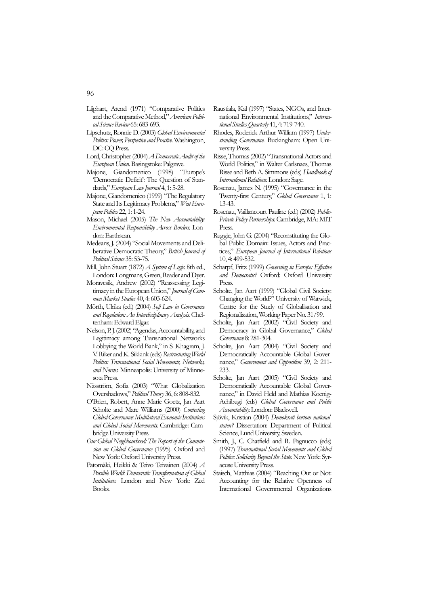- Lijphart, Arend (1971) "Comparative Politics and the Comparative Method," *American Political Science Review* 65: 683-693.
- Lipschutz, Ronnie D. (2003) *Global Environmental Politics: Power, Perspective and Practice*. Washington, DC: CQ Press.
- Lord, Christopher (2004) *A Democratic Audit of the European Union*. Basingstoke: Palgrave.
- Majone, Giandomenico (1998) "Europe's 'Democratic Deficit': The Question of Standards," *European Law Journal* 4, 1: 5-28.
- Majone, Giandomenico (1999) "The Regulatory State and Its Legitimacy Problems," *West European Politics* 22, 1: 1-24.
- Mason, Michael (2005) *The New Accountability: Environmental Responsibility Across Borders*. London: Earthscan.
- Medearis, J. (2004) "Social Movements and Deliberative Democratic Theory," *British Journal of Political Science* 35: 53-75.
- Mill, John Stuart (1872) *A System of Logic*. 8th ed., London: Longmans, Green, Reader and Dyer.
- Moravcsik, Andrew (2002) "Reassessing Legitimacy in the European Union," *Journal of Common Market Studies* 40, 4: 603-624.
- Mörth, Ulrika (ed.) (2004) *Soft Law in Governance and Regulation: An Interdisciplinary Analysis*. Cheltenham: Edward Elgar.
- Nelson, P. J. (2002) "Agendas, Accountability, and Legitimacy among Transnational Networks Lobbying the World Bank," in S. Khagram, J. V. Riker and K. Sikkink (eds) *Restructuring World Politics: Transnational Social Movements, Networks, and Norms*. Minneapolis: University of Minnesota Press.
- Näsström, Sofia (2003) "What Globalization Overshadows," *Political Theory* 36, 6: 808-832.
- O'Brien, Robert, Anne Marie Goetz, Jan Aart Scholte and Marc Williams (2000) *Contesting Global Governance: Multilateral Economic Institutions and Global Social Movements*. Cambridge: Cambridge University Press.
- *Our Global Neighbourhood: The Report of the Commission on Global Governance* (1995). Oxford and New York: Oxford University Press.
- Patomäki, Heikki & Teivo Teivainen (2004) *A Possible World: Democratic Transformation of Global Institutions*. London and New York: Zed Books.
- Raustiala, Kal (1997) "States, NGOs, and International Environmental Institutions," *International Studies Quarterly* 41, 4: 719-740.
- Rhodes, Roderick Arthur William (1997) *Understanding Governance*. Buckingham: Open University Press.
- Risse, Thomas (2002) "Transnational Actors and World Politics," in Walter Carlsnaes, Thomas Risse and Beth A. Simmons (eds) *Handbook of International Relations*. London: Sage.
- Rosenau, James N. (1995) "Governance in the Twenty-first Century," *Global Governance* 1, 1: 13-43.
- Rosenau, Vaillancourt Pauline (ed.) (2002) *Public-Private Policy Partnerships*. Cambridge, MA: MIT Press.
- Ruggie, John G. (2004) "Reconstituting the Global Public Domain: Issues, Actors and Practices," *European Journal of International Relations* 10, 4: 499-532.
- Scharpf, Fritz (1999) *Governing in Europe: Effective and Democratic?* Oxford: Oxford University Press.
- Scholte, Jan Aart (1999) "Global Civil Society: Changing the World?" University of Warwick, Centre for the Study of Globalisation and Regionalisation, Working Paper No. 31/99.
- Scholte, Jan Aart (2002) "Civil Society and Democracy in Global Governance," *Global Governance* 8: 281-304.
- Scholte, Jan Aart (2004) "Civil Society and Democratically Accountable Global Governance," *Government and Opposition* 39, 2: 211- 233.
- Scholte, Jan Aart (2005) "Civil Society and Democratically Accountable Global Governance," in David Held and Mathias Koenig-Achibugi (eds) *Global Governance and Public Accountability*. London: Blackwell.
- Sjövik, Kristian (2004) *Demokrati bortom nationalstaten?* Dissertation: Department of Political Science, Lund University, Sweden.
- Smith, J., C. Chatfield and R. Pagnucco (eds) (1997) *Transnational Social Movements and Global Politics: Solidarity Beyond the State*. New York: Syracuse University Press.
- Staisch, Matthias (2004) "Reaching Out or Not: Accounting for the Relative Openness of International Governmental Organizations